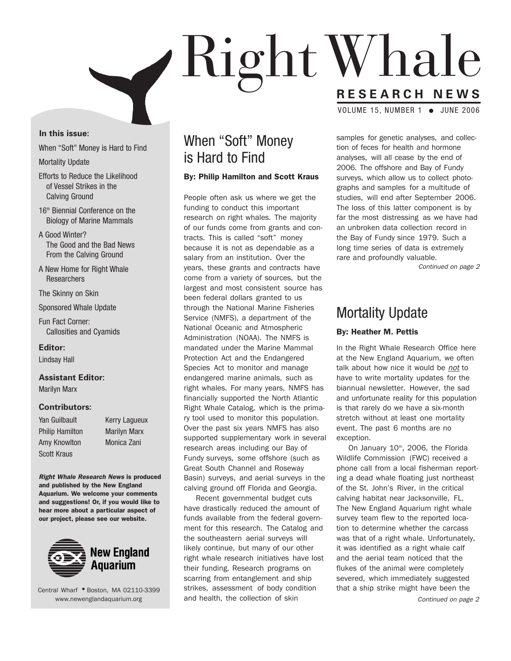

### **In this issue:**

When "Soft" Money is Hard to Find

Mortality Update

- Efforts to Reduce the Likelihood of Vessel Strikes in the Calving Ground
- 16<sup>th</sup> Biennial Conference on the Biology of Marine Mammals
- A Good Winter? The Good and the Bad News From the Calving Ground
- A New Home for Right Whale **Researchers**
- The Skinny on Skin
- Sponsored Whale Update

Fun Fact Corner: Callosities and Cyamids

**Editor:**

Lindsay Hall

### **Assistant Editor:**

Marilyn Marx

### **Contributors:**

| Yan Guilbault          |  |  |  |
|------------------------|--|--|--|
| <b>Philip Hamilton</b> |  |  |  |
| Amy Knowlton           |  |  |  |
| <b>Scott Kraus</b>     |  |  |  |

Kerry Lagueux **Marilyn Marx** Monica Zani

**Right Whale Research News is produced and published by the New England Aquarium. We welcome your comments and suggestions! Or, if you would like to hear more about a particular aspect of our project, please see our website.**



Central Wharf **●** Boston, MA 02110-3399 www.newenglandaquarium.org

## When "Soft" Money is Hard to Find

### **By: Philip Hamilton and Scott Kraus**

People often ask us where we get the funding to conduct this important research on right whales. The majority of our funds come from grants and contracts. This is called "soft" money because it is not as dependable as a salary from an institution. Over the years, these grants and contracts have come from a variety of sources, but the largest and most consistent source has been federal dollars granted to us through the National Marine Fisheries Service (NMFS), a department of the National Oceanic and Atmospheric Administration (NOAA). The NMFS is mandated under the Marine Mammal Protection Act and the Endangered Species Act to monitor and manage endangered marine animals, such as right whales. For many years, NMFS has financially supported the North Atlantic Right Whale Catalog, which is the primary tool used to monitor this population. Over the past six years NMFS has also supported supplementary work in several research areas including our Bay of Fundy surveys, some offshore (such as Great South Channel and Roseway Basin) surveys, and aerial surveys in the calving ground off Florida and Georgia.

Recent governmental budget cuts have drastically reduced the amount of funds available from the federal government for this research. The Catalog and the southeastern aerial surveys will likely continue, but many of our other right whale research initiatives have lost their funding. Research programs on scarring from entanglement and ship strikes, assessment of body condition and health, the collection of skin

samples for genetic analyses, and collection of feces for health and hormone analyses, will all cease by the end of 2006. The offshore and Bay of Fundy surveys, which allow us to collect photographs and samples for a multitude of studies, will end after September 2006. The loss of this latter component is by far the most distressing as we have had an unbroken data collection record in the Bay of Fundy since 1979. Such a long time series of data is extremely rare and profoundly valuable.

Continued on page 2

### Mortality Update

### **By: Heather M. Pettis**

In the Right Whale Research Office here at the New England Aquarium, we often talk about how nice it would be not to have to write mortality updates for the biannual newsletter. However, the sad and unfortunate reality for this population is that rarely do we have a six-month stretch without at least one mortality event. The past 6 months are no exception.

On January  $10<sup>th</sup>$ , 2006, the Florida Wildlife Commission (FWC) received a phone call from a local fisherman reporting a dead whale floating just northeast of the St. John's River, in the critical calving habitat near Jacksonville, FL. The New England Aquarium right whale survey team flew to the reported location to determine whether the carcass was that of a right whale. Unfortunately, it was identified as a right whale calf and the aerial team noticed that the flukes of the animal were completely severed, which immediately suggested that a ship strike might have been the

Continued on page 2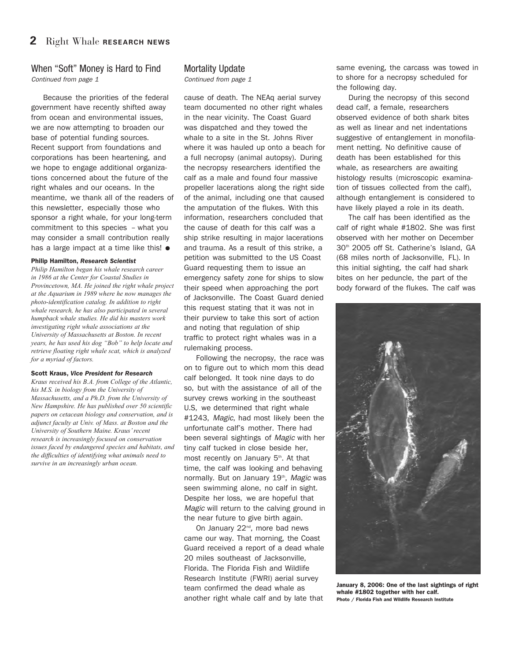### When "Soft" Money is Hard to Find Continued from page 1

Because the priorities of the federal government have recently shifted away from ocean and environmental issues, we are now attempting to broaden our base of potential funding sources. Recent support from foundations and corporations has been heartening, and we hope to engage additional organizations concerned about the future of the right whales and our oceans. In the meantime, we thank all of the readers of this newsletter, especially those who sponsor a right whale, for your long-term commitment to this species – what you may consider a small contribution really has a large impact at a time like this! **●**

### **Philip Hamilton,** *Research Scientist*

*Philip Hamilton began his whale research career in 1986 at the Center for Coastal Studies in Provincetown, MA. He joined the right whale project at the Aquarium in 1989 where he now manages the photo-identification catalog. In addition to right whale research, he has also participated in several humpback whale studies. He did his masters work investigating right whale associations at the University of Massachusetts at Boston. In recent years, he has used his dog "Bob" to help locate and retrieve floating right whale scat, which is analyzed for a myriad of factors.*

### **Scott Kraus,** *Vice President for Research*

*Kraus received his B.A. from College of the Atlantic, his M.S. in biology from the University of Massachusetts, and a Ph.D. from the University of New Hampshire. He has published over 50 scientific papers on cetacean biology and conservation, and is adjunct faculty at Univ. of Mass. at Boston and the University of Southern Maine. Kraus' recent research is increasingly focused on conservation issues faced by endangered species and habitats, and the difficulties of identifying what animals need to survive in an increasingly urban ocean.* 

### Mortality Update

Continued from page 1

cause of death. The NEAq aerial survey team documented no other right whales in the near vicinity. The Coast Guard was dispatched and they towed the whale to a site in the St. Johns River where it was hauled up onto a beach for a full necropsy (animal autopsy). During the necropsy researchers identified the calf as a male and found four massive propeller lacerations along the right side of the animal, including one that caused the amputation of the flukes. With this information, researchers concluded that the cause of death for this calf was a ship strike resulting in major lacerations and trauma. As a result of this strike, a petition was submitted to the US Coast Guard requesting them to issue an emergency safety zone for ships to slow their speed when approaching the port of Jacksonville. The Coast Guard denied this request stating that it was not in their purview to take this sort of action and noting that regulation of ship traffic to protect right whales was in a rulemaking process.

Following the necropsy, the race was on to figure out to which mom this dead calf belonged. It took nine days to do so, but with the assistance of all of the survey crews working in the southeast U.S, we determined that right whale #1243, Magic, had most likely been the unfortunate calf's mother. There had been several sightings of Magic with her tiny calf tucked in close beside her, most recently on January 5<sup>th</sup>. At that time, the calf was looking and behaving normally. But on January 19<sup>th</sup>, Magic was seen swimming alone, no calf in sight. Despite her loss, we are hopeful that Magic will return to the calving ground in the near future to give birth again.

On January 22<sup>nd</sup>, more bad news came our way. That morning, the Coast Guard received a report of a dead whale 20 miles southeast of Jacksonville, Florida. The Florida Fish and Wildlife Research Institute (FWRI) aerial survey team confirmed the dead whale as another right whale calf and by late that

same evening, the carcass was towed in to shore for a necropsy scheduled for the following day.

During the necropsy of this second dead calf, a female, researchers observed evidence of both shark bites as well as linear and net indentations suggestive of entanglement in monofilament netting. No definitive cause of death has been established for this whale, as researchers are awaiting histology results (microscopic examination of tissues collected from the calf), although entanglement is considered to have likely played a role in its death.

The calf has been identified as the calf of right whale #1802. She was first observed with her mother on December 30<sup>th</sup> 2005 off St. Catherine's Island, GA (68 miles north of Jacksonville, FL). In this initial sighting, the calf had shark bites on her peduncle, the part of the body forward of the flukes. The calf was



**January 8, 2006: One of the last sightings of right whale #1802 together with her calf. Photo / Florida Fish and Wildlife Research Institute**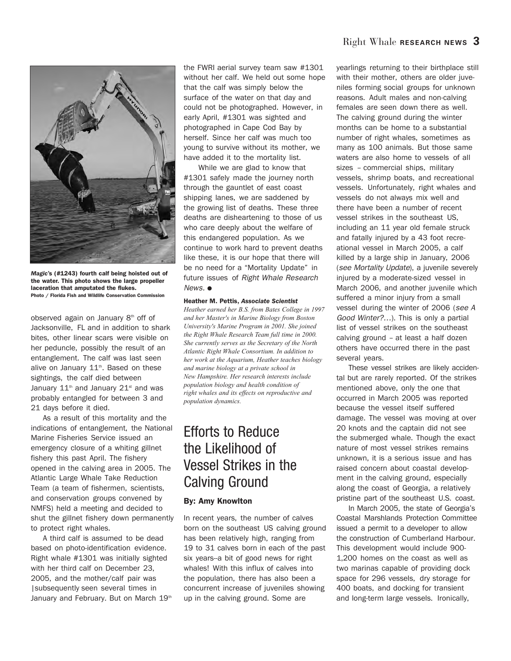

*Magic***'s (#1243) fourth calf being hoisted out of the water. This photo shows the large propeller laceration that amputated the flukes. Photo / Florida Fish and Wildlife Conservation Commission** 

observed again on January 8<sup>th</sup> off of Jacksonville, FL and in addition to shark bites, other linear scars were visible on her peduncle, possibly the result of an entanglement. The calf was last seen alive on January  $11<sup>th</sup>$ . Based on these sightings, the calf died between January  $11<sup>th</sup>$  and January  $21<sup>st</sup>$  and was probably entangled for between 3 and 21 days before it died.

As a result of this mortality and the indications of entanglement, the National Marine Fisheries Service issued an emergency closure of a whiting gillnet fishery this past April. The fishery opened in the calving area in 2005. The Atlantic Large Whale Take Reduction Team (a team of fishermen, scientists, and conservation groups convened by NMFS) held a meeting and decided to shut the gillnet fishery down permanently to protect right whales.

A third calf is assumed to be dead based on photo-identification evidence. Right whale #1301 was initially sighted with her third calf on December 23, 2005, and the mother/calf pair was |subsequently seen several times in January and February. But on March 19th

the FWRI aerial survey team saw #1301 without her calf. We held out some hope that the calf was simply below the surface of the water on that day and could not be photographed. However, in early April, #1301 was sighted and photographed in Cape Cod Bay by herself. Since her calf was much too young to survive without its mother, we have added it to the mortality list.

While we are glad to know that #1301 safely made the journey north through the gauntlet of east coast shipping lanes, we are saddened by the growing list of deaths. These three deaths are disheartening to those of us who care deeply about the welfare of this endangered population. As we continue to work hard to prevent deaths like these, it is our hope that there will be no need for a "Mortality Update" in future issues of Right Whale Research News. **●**

#### **Heather M. Pettis,** *Associate Scientist*

*Heather earned her B.S. from Bates College in 1997 and her Master's in Marine Biology from Boston University's Marine Program in 2001. She joined the Right Whale Research Team full time in 2000. She currently serves as the Secretary of the North Atlantic Right Whale Consortium. In addition to her work at the Aquarium, Heather teaches biology and marine biology at a private school in New Hampshire. Her research interests include population biology and health condition of right whales and its effects on reproductive and population dynamics.*

## Efforts to Reduce the Likelihood of Vessel Strikes in the Calving Ground

### **By: Amy Knowlton**

In recent years, the number of calves born on the southeast US calving ground has been relatively high, ranging from 19 to 31 calves born in each of the past six years--a bit of good news for right whales! With this influx of calves into the population, there has also been a concurrent increase of juveniles showing up in the calving ground. Some are

yearlings returning to their birthplace still with their mother, others are older juveniles forming social groups for unknown reasons. Adult males and non-calving females are seen down there as well. The calving ground during the winter months can be home to a substantial number of right whales, sometimes as many as 100 animals. But those same waters are also home to vessels of all sizes – commercial ships, military vessels, shrimp boats, and recreational vessels. Unfortunately, right whales and vessels do not always mix well and there have been a number of recent vessel strikes in the southeast US, including an 11 year old female struck and fatally injured by a 43 foot recreational vessel in March 2005, a calf killed by a large ship in January, 2006 (see Mortality Update), a juvenile severely injured by a moderate-sized vessel in March 2006, and another juvenile which suffered a minor injury from a small vessel during the winter of 2006 (see A Good Winter?…). This is only a partial list of vessel strikes on the southeast calving ground – at least a half dozen others have occurred there in the past several years.

These vessel strikes are likely accidental but are rarely reported. Of the strikes mentioned above, only the one that occurred in March 2005 was reported because the vessel itself suffered damage. The vessel was moving at over 20 knots and the captain did not see the submerged whale. Though the exact nature of most vessel strikes remains unknown, it is a serious issue and has raised concern about coastal development in the calving ground, especially along the coast of Georgia, a relatively pristine part of the southeast U.S. coast.

In March 2005, the state of Georgia's Coastal Marshlands Protection Committee issued a permit to a developer to allow the construction of Cumberland Harbour. This development would include 900- 1,200 homes on the coast as well as two marinas capable of providing dock space for 296 vessels, dry storage for 400 boats, and docking for transient and long-term large vessels. Ironically,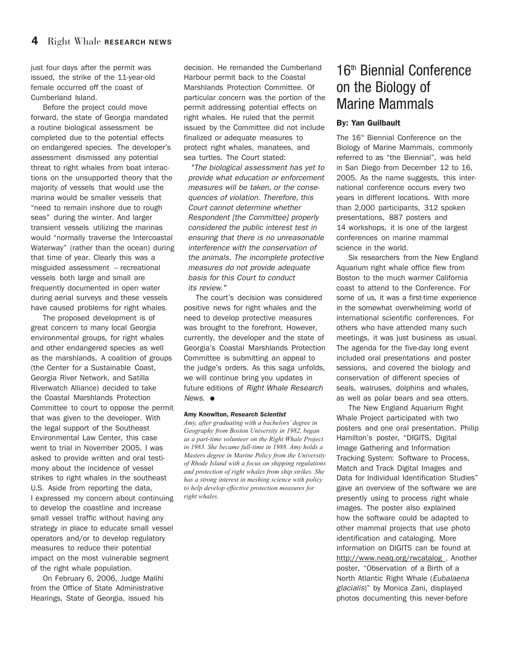just four days after the permit was issued, the strike of the 11-year-old female occurred off the coast of Cumberland Island.

Before the project could move forward, the state of Georgia mandated a routine biological assessment be completed due to the potential effects on endangered species. The developer's assessment dismissed any potential threat to right whales from boat interactions on the unsupported theory that the majority of vessels that would use the marina would be smaller vessels that "need to remain inshore due to rough seas" during the winter. And larger transient vessels utilizing the marinas would "normally traverse the Intercoastal Waterway" (rather than the ocean) during that time of year. Clearly this was a misguided assessment -- recreational vessels both large and small are frequently documented in open water during aerial surveys and these vessels have caused problems for right whales.

The proposed development is of great concern to many local Georgia environmental groups, for right whales and other endangered species as well as the marshlands. A coalition of groups (the Center for a Sustainable Coast, Georgia River Network, and Satilla Riverwatch Alliance) decided to take the Coastal Marshlands Protection Committee to court to oppose the permit that was given to the developer. With the legal support of the Southeast Environmental Law Center, this case went to trial in November 2005. I was asked to provide written and oral testimony about the incidence of vessel strikes to right whales in the southeast U.S. Aside from reporting the data, I expressed my concern about continuing to develop the coastline and increase small vessel traffic without having any strategy in place to educate small vessel operators and/or to develop regulatory measures to reduce their potential impact on the most vulnerable segment of the right whale population.

On February 6, 2006, Judge Malihi from the Office of State Administrative Hearings, State of Georgia, issued his decision. He remanded the Cumberland Harbour permit back to the Coastal Marshlands Protection Committee. Of particular concern was the portion of the permit addressing potential effects on right whales. He ruled that the permit issued by the Committee did not include finalized or adequate measures to protect right whales, manatees, and sea turtles. The Court stated:

"The biological assessment has yet to provide what education or enforcement measures will be taken, or the consequences of violation. Therefore, this Court cannot determine whether Respondent [the Committee] properly considered the public interest test in ensuring that there is no unreasonable interference with the conservation of the animals. The incomplete protective measures do not provide adequate basis for this Court to conduct its review."

The court's decision was considered positive news for right whales and the need to develop protective measures was brought to the forefront. However, currently, the developer and the state of Georgia's Coastal Marshlands Protection Committee is submitting an appeal to the judge's orders. As this saga unfolds, we will continue bring you updates in future editions of Right Whale Research News. **●**

### **Amy Knowlton,** *Research Scientist*

*Amy, after graduating with a bachelors' degree in Geography from Boston University in 1982, began as a part-time volunteer on the Right Whale Project in 1983. She became full-time in 1988. Amy holds a Masters degree in Marine Policy from the University of Rhode Island with a focus on shipping regulations and protection of right whales from ship strikes. She has a strong interest in meshing science with policy to help develop effective protection measures for right whales.* 

## 16<sup>th</sup> Biennial Conference on the Biology of Marine Mammals

### **By: Yan Guilbault**

The 16<sup>th</sup> Biennial Conference on the Biology of Marine Mammals, commonly referred to as "the Biennial", was held in San Diego from December 12 to 16, 2005. As the name suggests, this international conference occurs every two years in different locations. With more than 2,000 participants, 312 spoken presentations, 887 posters and 14 workshops, it is one of the largest conferences on marine mammal science in the world.

Six researchers from the New England Aquarium right whale office flew from Boston to the much warmer California coast to attend to the Conference. For some of us, it was a first-time experience in the somewhat overwhelming world of international scientific conferences. For others who have attended many such meetings, it was just business as usual. The agenda for the five-day long event included oral presentations and poster sessions, and covered the biology and conservation of different species of seals, walruses, dolphins and whales, as well as polar bears and sea otters.

The New England Aquarium Right Whale Project participated with two posters and one oral presentation. Philip Hamilton's poster, "DIGITS, Digital Image Gathering and Information Tracking System: Software to Process, Match and Track Digital Images and Data for Individual Identification Studies" gave an overview of the software we are presently using to process right whale images. The poster also explained how the software could be adapted to other mammal projects that use photo identification and cataloging. More information on DIGITS can be found at http://www.neaq.org/rwcatalog . Another poster, "Observation of a Birth of a North Atlantic Right Whale (Eubalaena glacialis)" by Monica Zani, displayed photos documenting this never-before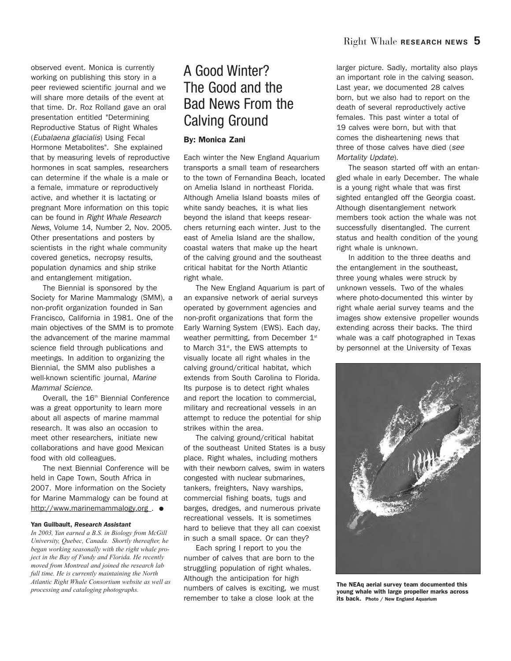observed event. Monica is currently working on publishing this story in a peer reviewed scientific journal and we will share more details of the event at that time. Dr. Roz Rolland gave an oral presentation entitled "Determining Reproductive Status of Right Whales (Eubalaena glacialis) Using Fecal Hormone Metabolites". She explained that by measuring levels of reproductive hormones in scat samples, researchers can determine if the whale is a male or a female, immature or reproductively active, and whether it is lactating or pregnant More information on this topic can be found in Right Whale Research News, Volume 14, Number 2, Nov. 2005. Other presentations and posters by scientists in the right whale community covered genetics, necropsy results, population dynamics and ship strike and entanglement mitigation.

The Biennial is sponsored by the Society for Marine Mammalogy (SMM), a non-profit organization founded in San Francisco, California in 1981. One of the main objectives of the SMM is to promote the advancement of the marine mammal science field through publications and meetings. In addition to organizing the Biennial, the SMM also publishes a well-known scientific journal, Marine Mammal Science.

Overall, the 16<sup>th</sup> Biennial Conference was a great opportunity to learn more about all aspects of marine mammal research. It was also an occasion to meet other researchers, initiate new collaborations and have good Mexican food with old colleagues.

The next Biennial Conference will be held in Cape Town, South Africa in 2007. More information on the Society for Marine Mammalogy can be found at http://www.marinemammalogy.org . **●**

### **Yan Guilbault,** *Research Assistant*

*In 2003, Yan earned a B.S. in Biology from McGill University, Quebec, Canada. Shortly thereafter, he began working seasonally with the right whale project in the Bay of Fundy and Florida. He recently moved from Montreal and joined the research lab full time. He is currently maintaining the North Atlantic Right Whale Consortium website as well as processing and cataloging photographs.*

## A Good Winter? The Good and the Bad News From the Calving Ground

### **By: Monica Zani**

Each winter the New England Aquarium transports a small team of researchers to the town of Fernandina Beach, located on Amelia Island in northeast Florida. Although Amelia Island boasts miles of white sandy beaches, it is what lies beyond the island that keeps researchers returning each winter. Just to the east of Amelia Island are the shallow, coastal waters that make up the heart of the calving ground and the southeast critical habitat for the North Atlantic right whale.

The New England Aquarium is part of an expansive network of aerial surveys operated by government agencies and non-profit organizations that form the Early Warning System (EWS). Each day, weather permitting, from December  $1<sup>st</sup>$ to March  $31<sup>st</sup>$ , the EWS attempts to visually locate all right whales in the calving ground/critical habitat, which extends from South Carolina to Florida. Its purpose is to detect right whales and report the location to commercial, military and recreational vessels in an attempt to reduce the potential for ship strikes within the area.

The calving ground/critical habitat of the southeast United States is a busy place. Right whales, including mothers with their newborn calves, swim in waters congested with nuclear submarines, tankers, freighters, Navy warships, commercial fishing boats, tugs and barges, dredges, and numerous private recreational vessels. It is sometimes hard to believe that they all can coexist in such a small space. Or can they?

Each spring I report to you the number of calves that are born to the struggling population of right whales. Although the anticipation for high numbers of calves is exciting, we must remember to take a close look at the

larger picture. Sadly, mortality also plays an important role in the calving season. Last year, we documented 28 calves born, but we also had to report on the death of several reproductively active females. This past winter a total of 19 calves were born, but with that comes the disheartening news that three of those calves have died (see Mortality Update).

The season started off with an entangled whale in early December. The whale is a young right whale that was first sighted entangled off the Georgia coast. Although disentanglement network members took action the whale was not successfully disentangled. The current status and health condition of the young right whale is unknown.

In addition to the three deaths and the entanglement in the southeast, three young whales were struck by unknown vessels. Two of the whales where photo-documented this winter by right whale aerial survey teams and the images show extensive propeller wounds extending across their backs. The third whale was a calf photographed in Texas by personnel at the University of Texas



**The NEAq aerial survey team documented this young whale with large propeller marks across its back. Photo / New England Aquarium**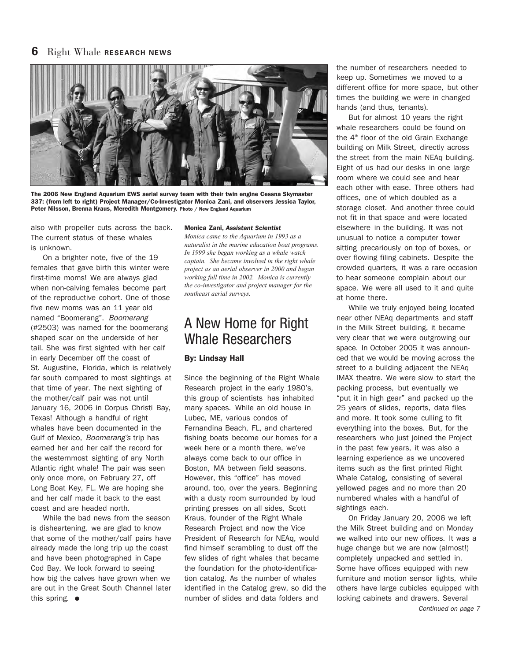### **6** Right Whale **RESEARCH NEWS**



**The 2006 New England Aquarium EWS aerial survey team with their twin engine Cessna Skymaster 337: (from left to right) Project Manager/Co-Investigator Monica Zani, and observers Jessica Taylor, Peter Nilsson, Brenna Kraus, Meredith Montgomery. Photo / New England Aquarium**

also with propeller cuts across the back. The current status of these whales is unknown.

On a brighter note, five of the 19 females that gave birth this winter were first-time moms! We are always glad when non-calving females become part of the reproductive cohort. One of those five new moms was an 11 year old named "Boomerang". Boomerang (#2503) was named for the boomerang shaped scar on the underside of her tail. She was first sighted with her calf in early December off the coast of St. Augustine, Florida, which is relatively far south compared to most sightings at that time of year. The next sighting of the mother/calf pair was not until January 16, 2006 in Corpus Christi Bay, Texas! Although a handful of right whales have been documented in the Gulf of Mexico, Boomerang's trip has earned her and her calf the record for the westernmost sighting of any North Atlantic right whale! The pair was seen only once more, on February 27, off Long Boat Key, FL. We are hoping she and her calf made it back to the east coast and are headed north.

While the bad news from the season is disheartening, we are glad to know that some of the mother/calf pairs have already made the long trip up the coast and have been photographed in Cape Cod Bay. We look forward to seeing how big the calves have grown when we are out in the Great South Channel later this spring. **●**

### **Monica Zani,** *Assistant Scientist*

*Monica came to the Aquarium in 1993 as a naturalist in the marine education boat programs. In 1999 she began working as a whale watch captain. She became involved in the right whale project as an aerial observer in 2000 and began working full time in 2002. Monica is currently the co-investigator and project manager for the southeast aerial surveys.*

## A New Home for Right Whale Researchers

### **By: Lindsay Hall**

Since the beginning of the Right Whale Research project in the early 1980's, this group of scientists has inhabited many spaces. While an old house in Lubec, ME, various condos of Fernandina Beach, FL, and chartered fishing boats become our homes for a week here or a month there, we've always come back to our office in Boston, MA between field seasons. However, this "office" has moved around, too, over the years. Beginning with a dusty room surrounded by loud printing presses on all sides, Scott Kraus, founder of the Right Whale Research Project and now the Vice President of Research for NEAq, would find himself scrambling to dust off the few slides of right whales that became the foundation for the photo-identification catalog. As the number of whales identified in the Catalog grew, so did the number of slides and data folders and

the number of researchers needed to keep up. Sometimes we moved to a different office for more space, but other times the building we were in changed hands (and thus, tenants).

But for almost 10 years the right whale researchers could be found on the  $4<sup>th</sup>$  floor of the old Grain Exchange building on Milk Street, directly across the street from the main NEAq building. Eight of us had our desks in one large room where we could see and hear each other with ease. Three others had offices, one of which doubled as a storage closet. And another three could not fit in that space and were located elsewhere in the building. It was not unusual to notice a computer tower sitting precariously on top of boxes, or over flowing filing cabinets. Despite the crowded quarters, it was a rare occasion to hear someone complain about our space. We were all used to it and quite at home there.

While we truly enjoyed being located near other NEAq departments and staff in the Milk Street building, it became very clear that we were outgrowing our space. In October 2005 it was announced that we would be moving across the street to a building adjacent the NEAq IMAX theatre. We were slow to start the packing process, but eventually we "put it in high gear" and packed up the 25 years of slides, reports, data files and more. It took some culling to fit everything into the boxes. But, for the researchers who just joined the Project in the past few years, it was also a learning experience as we uncovered items such as the first printed Right Whale Catalog, consisting of several yellowed pages and no more than 20 numbered whales with a handful of sightings each.

On Friday January 20, 2006 we left the Milk Street building and on Monday we walked into our new offices. It was a huge change but we are now (almost!) completely unpacked and settled in. Some have offices equipped with new furniture and motion sensor lights, while others have large cubicles equipped with locking cabinets and drawers. Several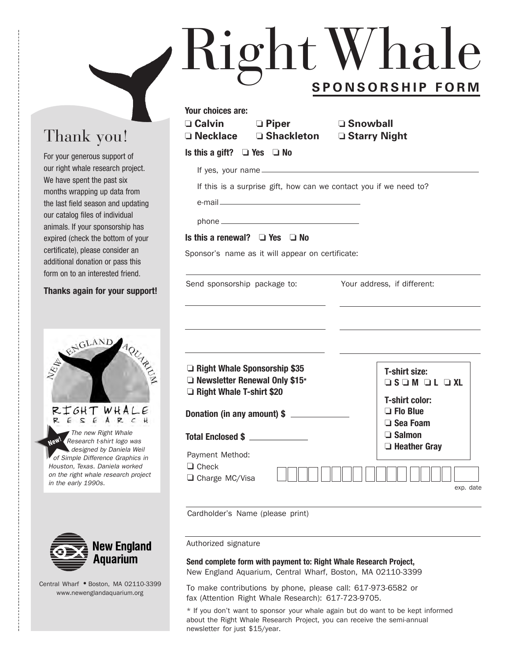# RightWhale **SPONSORSHIP FORM**

## Thank you!

For your generous support of our right whale research project. We have spent the past six months wrapping up data from the last field season and updating our catalog files of individual animals. If your sponsorship has expired (check the bottom of your certificate), please consider an additional donation or pass this form on to an interested friend.

### **Thanks again for your support!**





Central Wharf **●** Boston, MA 02110-3399 www.newenglandaquarium.org

| Your choices are:                    |  |                                 |                                                                   |  |
|--------------------------------------|--|---------------------------------|-------------------------------------------------------------------|--|
| $\square$ Calvin<br>$\Box$ Piper     |  |                                 | <b>□ Snowball</b>                                                 |  |
| $\Box$ Necklace $\Box$ Shackleton    |  |                                 | □ Starry Night                                                    |  |
| Is this a gift? $\Box$ Yes $\Box$ No |  |                                 |                                                                   |  |
|                                      |  | If yes, your name $\frac{1}{2}$ |                                                                   |  |
|                                      |  |                                 | If this is a surprise gift, how can we contact you if we need to? |  |
|                                      |  |                                 |                                                                   |  |
|                                      |  |                                 |                                                                   |  |

### **Is this a renewal? ❏ Yes ❏ No**

Sponsor's name as it will appear on certificate:

| Send sponsorship package to:                                                                     | Your address, if different:                                             |
|--------------------------------------------------------------------------------------------------|-------------------------------------------------------------------------|
| Right Whale Sponsorship \$35<br>$\Box$ Newsletter Renewal Only \$15*<br>Right Whale T-shirt \$20 | T-shirt size:<br>$\Box$ s $\Box$ m $\Box$ L $\Box$ XL<br>T-shirt color: |
| Donation (in any amount) \$                                                                      | $\Box$ Flo Blue<br>$\Box$ Sea Foam                                      |
| Total Enclosed \$ ______________                                                                 | $\Box$ Salmon<br>$\Box$ Heather Gray                                    |
| Payment Method:<br>$\Box$ Check<br>$\Box$ Charge MC/Visa                                         | exp. date                                                               |

Cardholder's Name (please print)

Authorized signature

**Send complete form with payment to: Right Whale Research Project,** New England Aquarium, Central Wharf, Boston, MA 02110-3399

To make contributions by phone, please call: 617-973-6582 or fax (Attention Right Whale Research): 617-723-9705.

\* If you don't want to sponsor your whale again but do want to be kept informed about the Right Whale Research Project, you can receive the semi-annual newsletter for just \$15/year.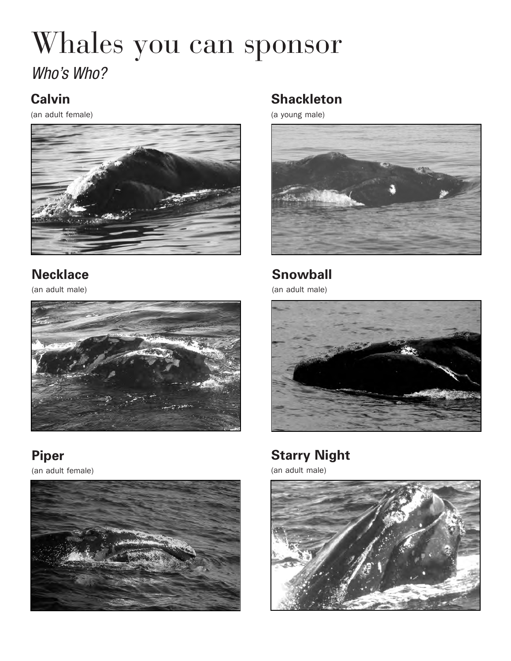## Whales you can sponsor Who's Who?

## **Calvin**

(an adult female)



## **Necklace**

(an adult male)



**Piper** (an adult female)



## **Shackleton**

(a young male)



**Snowball**

(an adult male)



## **Starry Night**

(an adult male)

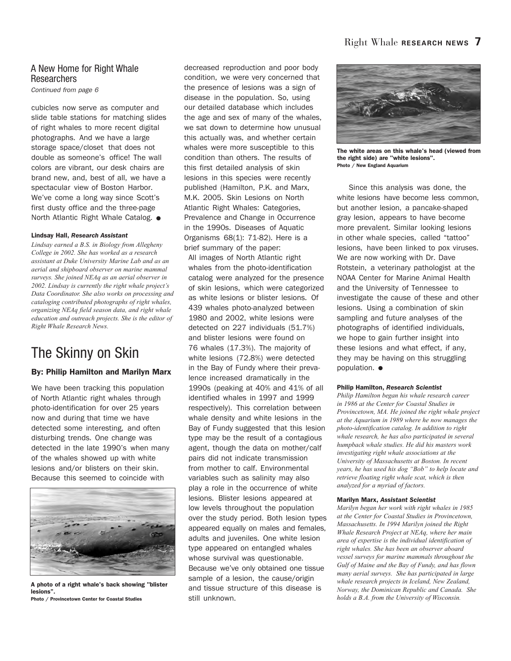### A New Home for Right Whale **Researchers**

Continued from page 6

cubicles now serve as computer and slide table stations for matching slides of right whales to more recent digital photographs. And we have a large storage space/closet that does not double as someone's office! The wall colors are vibrant, our desk chairs are brand new, and, best of all, we have a spectacular view of Boston Harbor. We've come a long way since Scott's first dusty office and the three-page North Atlantic Right Whale Catalog. **●**

### **Lindsay Hall,** *Research Assistant*

*Lindsay earned a B.S. in Biology from Allegheny College in 2002. She has worked as a research assistant at Duke University Marine Lab and as an aerial and shipboard observer on marine mammal surveys. She joined NEAq as an aerial observer in 2002. Lindsay is currently the right whale project's Data Coordinator. She also works on processing and cataloging contributed photographs of right whales, organizing NEAq field season data, and right whale education and outreach projects. She is the editor of Right Whale Research News.*

## The Skinny on Skin

### **By: Philip Hamilton and Marilyn Marx**

We have been tracking this population of North Atlantic right whales through photo-identification for over 25 years now and during that time we have detected some interesting, and often disturbing trends. One change was detected in the late 1990's when many of the whales showed up with white lesions and/or blisters on their skin. Because this seemed to coincide with



**A photo of a right whale's back showing "blister lesions". Photo / Provincetown Center for Coastal Studies**

decreased reproduction and poor body condition, we were very concerned that the presence of lesions was a sign of disease in the population. So, using our detailed database which includes the age and sex of many of the whales, we sat down to determine how unusual this actually was, and whether certain whales were more susceptible to this condition than others. The results of this first detailed analysis of skin lesions in this species were recently published (Hamilton, P.K. and Marx, M.K. 2005. Skin Lesions on North Atlantic Right Whales: Categories, Prevalence and Change in Occurrence in the 1990s. Diseases of Aquatic Organisms 68(1): 71-82). Here is a brief summary of the paper:

All images of North Atlantic right whales from the photo-identification catalog were analyzed for the presence of skin lesions, which were categorized as white lesions or blister lesions. Of 439 whales photo-analyzed between 1980 and 2002, white lesions were detected on 227 individuals (51.7%) and blister lesions were found on 76 whales (17.3%). The majority of white lesions (72.8%) were detected in the Bay of Fundy where their prevalence increased dramatically in the 1990s (peaking at 40% and 41% of all identified whales in 1997 and 1999 respectively). This correlation between whale density and white lesions in the Bay of Fundy suggested that this lesion type may be the result of a contagious agent, though the data on mother/calf pairs did not indicate transmission from mother to calf. Environmental variables such as salinity may also play a role in the occurrence of white lesions. Blister lesions appeared at low levels throughout the population over the study period. Both lesion types appeared equally on males and females, adults and juveniles. One white lesion type appeared on entangled whales whose survival was questionable. Because we've only obtained one tissue sample of a lesion, the cause/origin and tissue structure of this disease is still unknown.



**The white areas on this whale's head (viewed from the right side) are "white lesions". Photo / New England Aquarium**

Since this analysis was done, the white lesions have become less common, but another lesion, a pancake-shaped gray lesion, appears to have become more prevalent. Similar looking lesions in other whale species, called "tattoo" lesions, have been linked to pox viruses. We are now working with Dr. Dave Rotstein, a veterinary pathologist at the NOAA Center for Marine Animal Health and the University of Tennessee to investigate the cause of these and other lesions. Using a combination of skin sampling and future analyses of the photographs of identified individuals, we hope to gain further insight into these lesions and what effect, if any, they may be having on this struggling population. **●**

### **Philip Hamilton,** *Research Scientist*

*Philip Hamilton began his whale research career in 1986 at the Center for Coastal Studies in Provincetown, MA. He joined the right whale project at the Aquarium in 1989 where he now manages the photo-identification catalog. In addition to right whale research, he has also participated in several humpback whale studies. He did his masters work investigating right whale associations at the University of Massachusetts at Boston. In recent years, he has used his dog "Bob" to help locate and retrieve floating right whale scat, which is then analyzed for a myriad of factors.* 

### **Marilyn Marx,** *Assistant Scientist*

*Marilyn began her work with right whales in 1985 at the Center for Coastal Studies in Provincetown, Massachusetts. In 1994 Marilyn joined the Right Whale Research Project at NEAq, where her main area of expertise is the individual identification of right whales. She has been an observer aboard vessel surveys for marine mammals throughout the Gulf of Maine and the Bay of Fundy, and has flown many aerial surveys. She has participated in large whale research projects in Iceland, New Zealand, Norway, the Dominican Republic and Canada. She holds a B.A. from the University of Wisconsin.*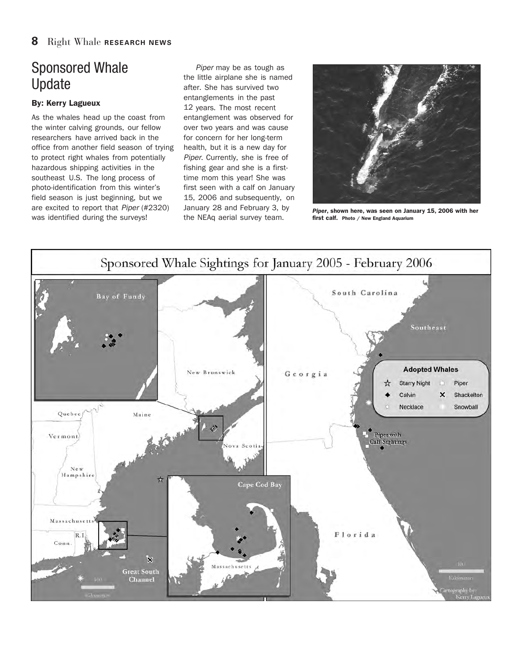## Sponsored Whale Update

### **By: Kerry Lagueux**

As the whales head up the coast from the winter calving grounds, our fellow researchers have arrived back in the office from another field season of trying to protect right whales from potentially hazardous shipping activities in the southeast U.S. The long process of photo-identification from this winter's field season is just beginning, but we are excited to report that Piper (#2320) was identified during the surveys!

Piper may be as tough as the little airplane she is named after. She has survived two entanglements in the past 12 years. The most recent entanglement was observed for over two years and was cause for concern for her long-term health, but it is a new day for Piper. Currently, she is free of fishing gear and she is a firsttime mom this year! She was first seen with a calf on January 15, 2006 and subsequently, on January 28 and February 3, by the NEAq aerial survey team.



*Piper***, shown here, was seen on January 15, 2006 with her first calf. Photo / New England Aquarium**

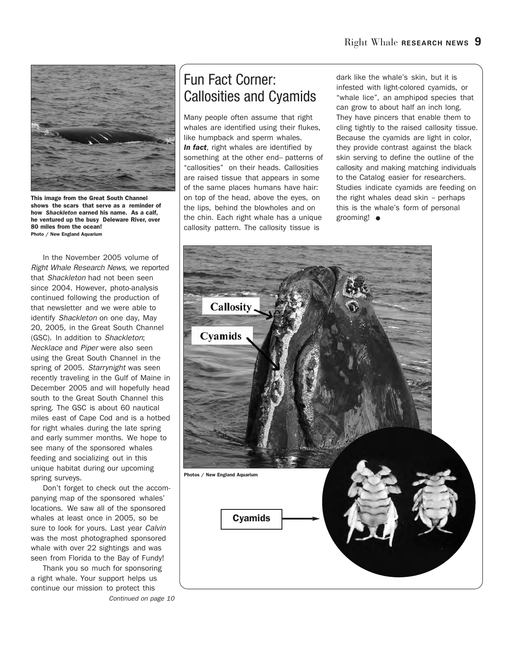

**This image from the Great South Channel shows the scars that serve as a reminder of how** *Shackleton* **earned his name. As a calf, he ventured up the busy Deleware River, over 80 miles from the ocean! Photo / New England Aquarium**

In the November 2005 volume of Right Whale Research News, we reported that Shackleton had not been seen since 2004. However, photo-analysis continued following the production of that newsletter and we were able to identify Shackleton on one day, May 20, 2005, in the Great South Channel (GSC). In addition to Shackleton; Necklace and Piper were also seen using the Great South Channel in the spring of 2005. Starrynight was seen recently traveling in the Gulf of Maine in December 2005 and will hopefully head south to the Great South Channel this spring. The GSC is about 60 nautical miles east of Cape Cod and is a hotbed for right whales during the late spring and early summer months. We hope to see many of the sponsored whales feeding and socializing out in this unique habitat during our upcoming spring surveys.

Don't forget to check out the accompanying map of the sponsored whales' locations. We saw all of the sponsored whales at least once in 2005, so be sure to look for yours. Last year Calvin was the most photographed sponsored whale with over 22 sightings and was seen from Florida to the Bay of Fundy!

Thank you so much for sponsoring a right whale. Your support helps us continue our mission to protect this

Continued on page 10

## Fun Fact Corner: Callosities and Cyamids

Many people often assume that right whales are identified using their flukes, like humpback and sperm whales. *In fact*, right whales are identified by something at the other end-- patterns of "callosities" on their heads. Callosities are raised tissue that appears in some of the same places humans have hair: on top of the head, above the eyes, on the lips, behind the blowholes and on the chin. Each right whale has a unique callosity pattern. The callosity tissue is

dark like the whale's skin, but it is infested with light-colored cyamids, or "whale lice", an amphipod species that can grow to about half an inch long. They have pincers that enable them to cling tightly to the raised callosity tissue. Because the cyamids are light in color, they provide contrast against the black skin serving to define the outline of the callosity and making matching individuals to the Catalog easier for researchers. Studies indicate cyamids are feeding on the right whales dead skin – perhaps this is the whale's form of personal grooming! **●**